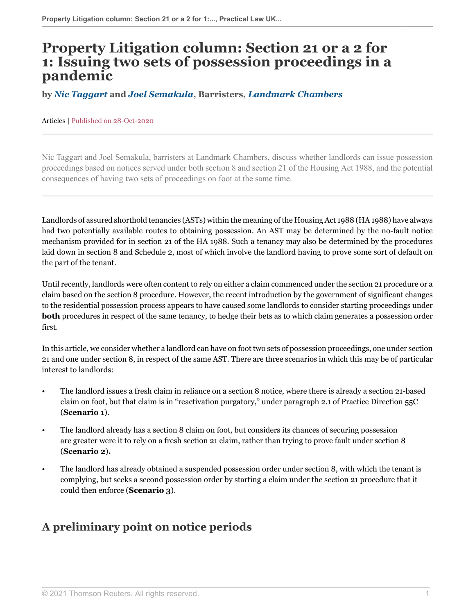# **Property Litigation column: Section 21 or a 2 for 1: Issuing two sets of possession proceedings in a pandemic**

#### **by** *[Nic Taggart](https://www.landmarkchambers.co.uk/people/nicholas-taggart/ )* **and** *[Joel Semakula](https://www.landmarkchambers.co.uk/people/joel-semakula/ )***, Barristers,** *[Landmark Chambers](https://www.landmarkchambers.co.uk/ )*

#### Articles | Published on 28-Oct-2020

Nic Taggart and Joel Semakula, barristers at Landmark Chambers, discuss whether landlords can issue possession proceedings based on notices served under both section 8 and section 21 of the Housing Act 1988, and the potential consequences of having two sets of proceedings on foot at the same time.

Landlords of assured shorthold tenancies (ASTs) within the meaning of the Housing Act 1988 (HA 1988) have always had two potentially available routes to obtaining possession. An AST may be determined by the no-fault notice mechanism provided for in section 21 of the HA 1988. Such a tenancy may also be determined by the procedures laid down in section 8 and Schedule 2, most of which involve the landlord having to prove some sort of default on the part of the tenant.

Until recently, landlords were often content to rely on either a claim commenced under the section 21 procedure or a claim based on the section 8 procedure. However, the recent introduction by the government of significant changes to the residential possession process appears to have caused some landlords to consider starting proceedings under **both** procedures in respect of the same tenancy, to hedge their bets as to which claim generates a possession order first.

In this article, we consider whether a landlord can have on foot two sets of possession proceedings, one under section 21 and one under section 8, in respect of the same AST. There are three scenarios in which this may be of particular interest to landlords:

- The landlord issues a fresh claim in reliance on a section 8 notice, where there is already a section 21-based claim on foot, but that claim is in "reactivation purgatory," under paragraph 2.1 of Practice Direction 55C (**Scenario 1**).
- The landlord already has a section 8 claim on foot, but considers its chances of securing possession are greater were it to rely on a fresh section 21 claim, rather than trying to prove fault under section 8 (**Scenario 2**)**.**
- The landlord has already obtained a suspended possession order under section 8, with which the tenant is complying, but seeks a second possession order by starting a claim under the section 21 procedure that it could then enforce (**Scenario 3**).

## **A preliminary point on notice periods**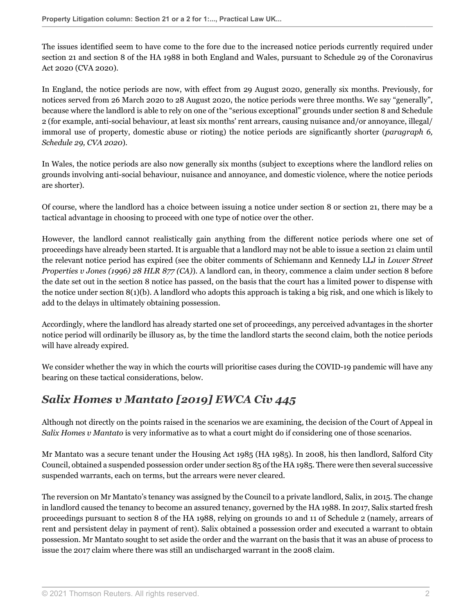The issues identified seem to have come to the fore due to the increased notice periods currently required under section 21 and section 8 of the HA 1988 in both England and Wales, pursuant to Schedule 29 of the Coronavirus Act 2020 (CVA 2020).

In England, the notice periods are now, with effect from 29 August 2020, generally six months. Previously, for notices served from 26 March 2020 to 28 August 2020, the notice periods were three months. We say "generally", because where the landlord is able to rely on one of the "serious exceptional" grounds under section 8 and Schedule 2 (for example, anti-social behaviour, at least six months' rent arrears, causing nuisance and/or annoyance, illegal/ immoral use of property, domestic abuse or rioting) the notice periods are significantly shorter (*paragraph 6, Schedule 29, CVA 2020*).

In Wales, the notice periods are also now generally six months (subject to exceptions where the landlord relies on grounds involving anti-social behaviour, nuisance and annoyance, and domestic violence, where the notice periods are shorter).

Of course, where the landlord has a choice between issuing a notice under section 8 or section 21, there may be a tactical advantage in choosing to proceed with one type of notice over the other.

However, the landlord cannot realistically gain anything from the different notice periods where one set of proceedings have already been started. It is arguable that a landlord may not be able to issue a section 21 claim until the relevant notice period has expired (see the obiter comments of Schiemann and Kennedy LLJ in *Lower Street Properties v Jones (1996) 28 HLR 877 (CA)*). A landlord can, in theory, commence a claim under section 8 before the date set out in the section 8 notice has passed, on the basis that the court has a limited power to dispense with the notice under section  $8(1)(b)$ . A landlord who adopts this approach is taking a big risk, and one which is likely to add to the delays in ultimately obtaining possession.

Accordingly, where the landlord has already started one set of proceedings, any perceived advantages in the shorter notice period will ordinarily be illusory as, by the time the landlord starts the second claim, both the notice periods will have already expired.

We consider whether the way in which the courts will prioritise cases during the COVID-19 pandemic will have any bearing on these tactical considerations, below.

# *Salix Homes v Mantato [2019] EWCA Civ 445*

Although not directly on the points raised in the scenarios we are examining, the decision of the Court of Appeal in *Salix Homes v Mantato* is very informative as to what a court might do if considering one of those scenarios.

Mr Mantato was a secure tenant under the Housing Act 1985 (HA 1985). In 2008, his then landlord, Salford City Council, obtained a suspended possession order under section 85 of the HA 1985. There were then several successive suspended warrants, each on terms, but the arrears were never cleared.

The reversion on Mr Mantato's tenancy was assigned by the Council to a private landlord, Salix, in 2015. The change in landlord caused the tenancy to become an assured tenancy, governed by the HA 1988. In 2017, Salix started fresh proceedings pursuant to section 8 of the HA 1988, relying on grounds 10 and 11 of Schedule 2 (namely, arrears of rent and persistent delay in payment of rent). Salix obtained a possession order and executed a warrant to obtain possession. Mr Mantato sought to set aside the order and the warrant on the basis that it was an abuse of process to issue the 2017 claim where there was still an undischarged warrant in the 2008 claim.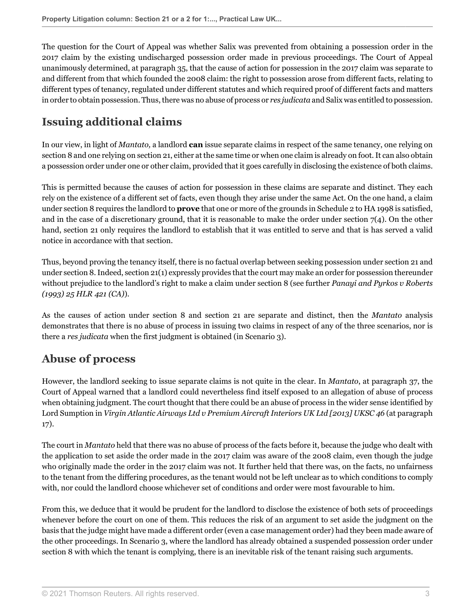The question for the Court of Appeal was whether Salix was prevented from obtaining a possession order in the 2017 claim by the existing undischarged possession order made in previous proceedings. The Court of Appeal unanimously determined, at paragraph 35, that the cause of action for possession in the 2017 claim was separate to and different from that which founded the 2008 claim: the right to possession arose from different facts, relating to different types of tenancy, regulated under different statutes and which required proof of different facts and matters in order to obtain possession. Thus, there was no abuse of process or *res judicata* and Salix was entitled to possession.

# **Issuing additional claims**

In our view, in light of *Mantato,* a landlord **can** issue separate claims in respect of the same tenancy, one relying on section 8 and one relying on section 21, either at the same time or when one claim is already on foot*.* It can also obtain a possession order under one or other claim, provided that it goes carefully in disclosing the existence of both claims.

This is permitted because the causes of action for possession in these claims are separate and distinct. They each rely on the existence of a different set of facts, even though they arise under the same Act. On the one hand, a claim under section 8 requires the landlord to **prove** that one or more of the grounds in Schedule 2 to HA 1998 is satisfied, and in the case of a discretionary ground, that it is reasonable to make the order under section  $7(4)$ . On the other hand, section 21 only requires the landlord to establish that it was entitled to serve and that is has served a valid notice in accordance with that section.

Thus, beyond proving the tenancy itself, there is no factual overlap between seeking possession under section 21 and under section 8. Indeed, section 21(1) expressly provides that the court may make an order for possession thereunder without prejudice to the landlord's right to make a claim under section 8 (see further *Panayi and Pyrkos v Roberts (1993) 25 HLR 421 (CA)*).

As the causes of action under section 8 and section 21 are separate and distinct, then the *Mantato* analysis demonstrates that there is no abuse of process in issuing two claims in respect of any of the three scenarios, nor is there a *res judicata* when the first judgment is obtained (in Scenario 3).

#### **Abuse of process**

However, the landlord seeking to issue separate claims is not quite in the clear. In *Mantato*, at paragraph 37, the Court of Appeal warned that a landlord could nevertheless find itself exposed to an allegation of abuse of process when obtaining judgment. The court thought that there could be an abuse of process in the wider sense identified by Lord Sumption in *Virgin Atlantic Airways Ltd v Premium Aircraft Interiors UK Ltd [2013] UKSC 46* (at paragraph 17).

The court in *Mantato* held that there was no abuse of process of the facts before it, because the judge who dealt with the application to set aside the order made in the 2017 claim was aware of the 2008 claim, even though the judge who originally made the order in the 2017 claim was not. It further held that there was, on the facts, no unfairness to the tenant from the differing procedures, as the tenant would not be left unclear as to which conditions to comply with, nor could the landlord choose whichever set of conditions and order were most favourable to him.

From this, we deduce that it would be prudent for the landlord to disclose the existence of both sets of proceedings whenever before the court on one of them. This reduces the risk of an argument to set aside the judgment on the basis that the judge might have made a different order (even a case management order) had they been made aware of the other proceedings. In Scenario 3, where the landlord has already obtained a suspended possession order under section 8 with which the tenant is complying, there is an inevitable risk of the tenant raising such arguments.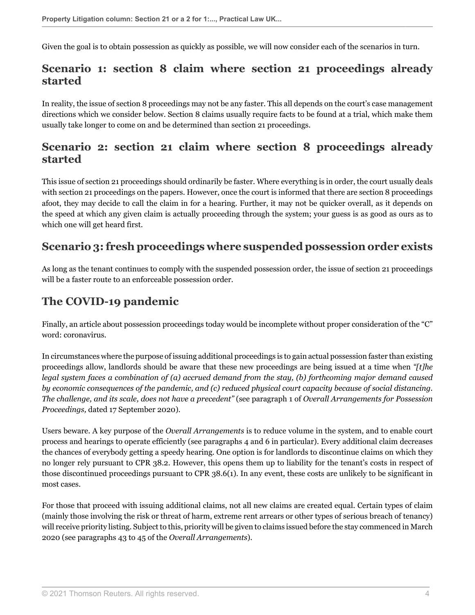Given the goal is to obtain possession as quickly as possible, we will now consider each of the scenarios in turn.

#### **Scenario 1: section 8 claim where section 21 proceedings already started**

In reality, the issue of section 8 proceedings may not be any faster. This all depends on the court's case management directions which we consider below. Section 8 claims usually require facts to be found at a trial, which make them usually take longer to come on and be determined than section 21 proceedings.

#### **Scenario 2: section 21 claim where section 8 proceedings already started**

This issue of section 21 proceedings should ordinarily be faster. Where everything is in order, the court usually deals with section 21 proceedings on the papers. However, once the court is informed that there are section 8 proceedings afoot, they may decide to call the claim in for a hearing. Further, it may not be quicker overall, as it depends on the speed at which any given claim is actually proceeding through the system; your guess is as good as ours as to which one will get heard first.

#### **Scenario 3: fresh proceedings where suspended possession order exists**

As long as the tenant continues to comply with the suspended possession order, the issue of section 21 proceedings will be a faster route to an enforceable possession order.

#### **The COVID-19 pandemic**

Finally, an article about possession proceedings today would be incomplete without proper consideration of the "C" word: coronavirus.

In circumstances where the purpose of issuing additional proceedings is to gain actual possession faster than existing proceedings allow, landlords should be aware that these new proceedings are being issued at a time when *"[t]he legal system faces a combination of (a) accrued demand from the stay, (b) forthcoming major demand caused by economic consequences of the pandemic, and (c) reduced physical court capacity because of social distancing. The challenge, and its scale, does not have a precedent"* (see paragraph 1 of *Overall Arrangements for Possession Proceedings,* dated 17 September 2020).

Users beware. A key purpose of the *Overall Arrangements* is to reduce volume in the system, and to enable court process and hearings to operate efficiently (see paragraphs 4 and 6 in particular). Every additional claim decreases the chances of everybody getting a speedy hearing. One option is for landlords to discontinue claims on which they no longer rely pursuant to CPR 38.2. However, this opens them up to liability for the tenant's costs in respect of those discontinued proceedings pursuant to CPR 38.6(1). In any event, these costs are unlikely to be significant in most cases.

For those that proceed with issuing additional claims, not all new claims are created equal. Certain types of claim (mainly those involving the risk or threat of harm, extreme rent arrears or other types of serious breach of tenancy) will receive priority listing. Subject to this, priority will be given to claims issued before the stay commenced in March 2020 (see paragraphs 43 to 45 of the *Overall Arrangements*).